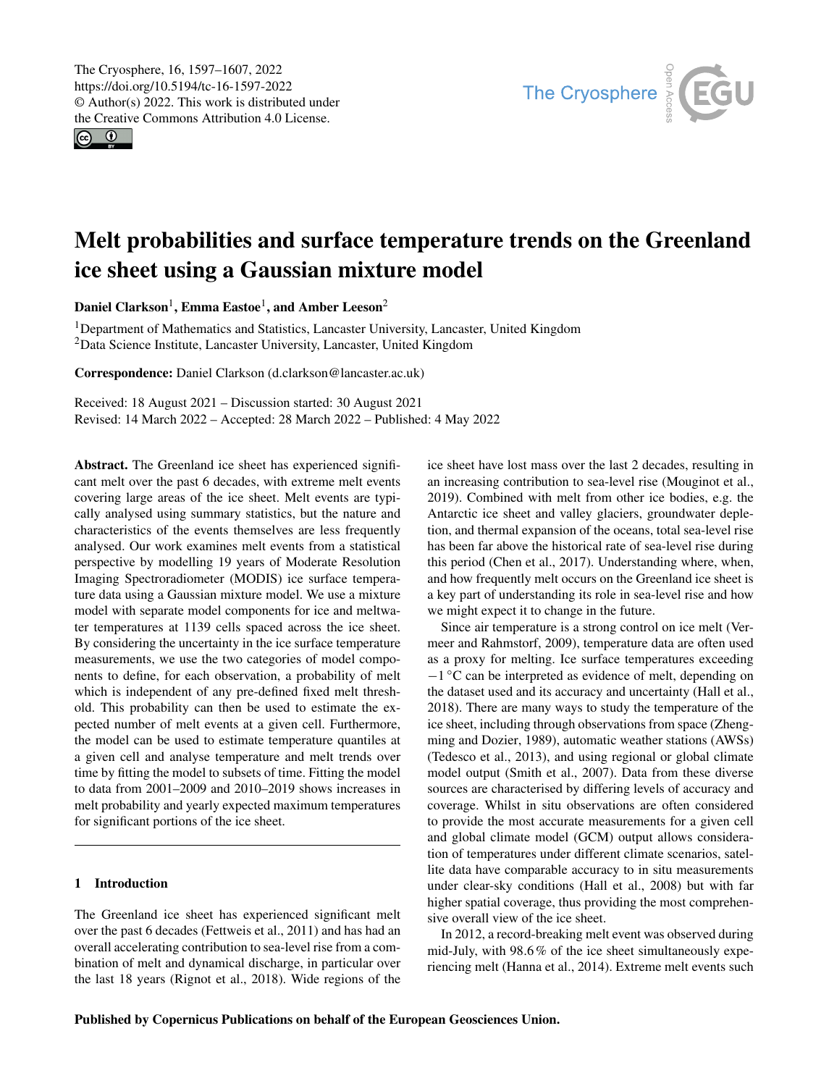$\circledcirc$ 



# Melt probabilities and surface temperature trends on the Greenland ice sheet using a Gaussian mixture model

Daniel Clarkson<sup>[1](#page-0-0)</sup>, Emma Eastoe<sup>1</sup>, and Amber Leeson<sup>[2](#page-0-0)</sup>

<sup>1</sup>Department of Mathematics and Statistics, Lancaster University, Lancaster, United Kingdom <sup>2</sup>Data Science Institute, Lancaster University, Lancaster, United Kingdom

Correspondence: Daniel Clarkson (d.clarkson@lancaster.ac.uk)

Received: 18 August 2021 – Discussion started: 30 August 2021 Revised: 14 March 2022 – Accepted: 28 March 2022 – Published: 4 May 2022

<span id="page-0-0"></span>Abstract. The Greenland ice sheet has experienced significant melt over the past 6 decades, with extreme melt events covering large areas of the ice sheet. Melt events are typically analysed using summary statistics, but the nature and characteristics of the events themselves are less frequently analysed. Our work examines melt events from a statistical perspective by modelling 19 years of Moderate Resolution Imaging Spectroradiometer (MODIS) ice surface temperature data using a Gaussian mixture model. We use a mixture model with separate model components for ice and meltwater temperatures at 1139 cells spaced across the ice sheet. By considering the uncertainty in the ice surface temperature measurements, we use the two categories of model components to define, for each observation, a probability of melt which is independent of any pre-defined fixed melt threshold. This probability can then be used to estimate the expected number of melt events at a given cell. Furthermore, the model can be used to estimate temperature quantiles at a given cell and analyse temperature and melt trends over time by fitting the model to subsets of time. Fitting the model to data from 2001–2009 and 2010–2019 shows increases in melt probability and yearly expected maximum temperatures for significant portions of the ice sheet.

# 1 Introduction

The Greenland ice sheet has experienced significant melt over the past 6 decades [\(Fettweis et al.,](#page-10-0) [2011\)](#page-10-0) and has had an overall accelerating contribution to sea-level rise from a combination of melt and dynamical discharge, in particular over the last 18 years [\(Rignot et al.,](#page-10-1) [2018\)](#page-10-1). Wide regions of the ice sheet have lost mass over the last 2 decades, resulting in an increasing contribution to sea-level rise [\(Mouginot et al.,](#page-10-2) [2019\)](#page-10-2). Combined with melt from other ice bodies, e.g. the Antarctic ice sheet and valley glaciers, groundwater depletion, and thermal expansion of the oceans, total sea-level rise has been far above the historical rate of sea-level rise during this period [\(Chen et al.,](#page-9-0) [2017\)](#page-9-0). Understanding where, when, and how frequently melt occurs on the Greenland ice sheet is a key part of understanding its role in sea-level rise and how we might expect it to change in the future.

Since air temperature is a strong control on ice melt [\(Ver](#page-10-3)[meer and Rahmstorf,](#page-10-3) [2009\)](#page-10-3), temperature data are often used as a proxy for melting. Ice surface temperatures exceeding −1 ◦C can be interpreted as evidence of melt, depending on the dataset used and its accuracy and uncertainty [\(Hall et al.,](#page-10-4) [2018\)](#page-10-4). There are many ways to study the temperature of the ice sheet, including through observations from space [\(Zheng](#page-10-5)[ming and Dozier,](#page-10-5) [1989\)](#page-10-5), automatic weather stations (AWSs) [\(Tedesco et al.,](#page-10-6) [2013\)](#page-10-6), and using regional or global climate model output [\(Smith et al.,](#page-10-7) [2007\)](#page-10-7). Data from these diverse sources are characterised by differing levels of accuracy and coverage. Whilst in situ observations are often considered to provide the most accurate measurements for a given cell and global climate model (GCM) output allows consideration of temperatures under different climate scenarios, satellite data have comparable accuracy to in situ measurements under clear-sky conditions [\(Hall et al.,](#page-10-8) [2008\)](#page-10-8) but with far higher spatial coverage, thus providing the most comprehensive overall view of the ice sheet.

In 2012, a record-breaking melt event was observed during mid-July, with 98.6% of the ice sheet simultaneously experiencing melt [\(Hanna et al.,](#page-10-9) [2014\)](#page-10-9). Extreme melt events such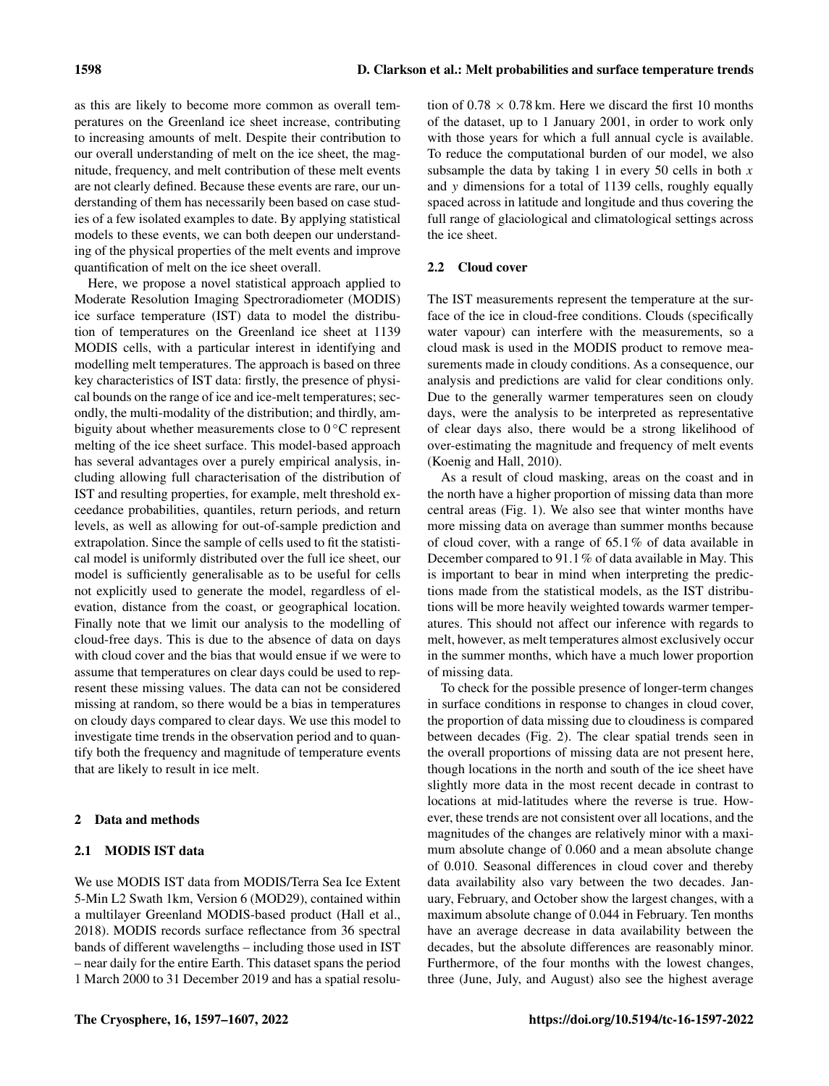as this are likely to become more common as overall temperatures on the Greenland ice sheet increase, contributing to increasing amounts of melt. Despite their contribution to our overall understanding of melt on the ice sheet, the magnitude, frequency, and melt contribution of these melt events are not clearly defined. Because these events are rare, our understanding of them has necessarily been based on case studies of a few isolated examples to date. By applying statistical models to these events, we can both deepen our understanding of the physical properties of the melt events and improve quantification of melt on the ice sheet overall.

Here, we propose a novel statistical approach applied to Moderate Resolution Imaging Spectroradiometer (MODIS) ice surface temperature (IST) data to model the distribution of temperatures on the Greenland ice sheet at 1139 MODIS cells, with a particular interest in identifying and modelling melt temperatures. The approach is based on three key characteristics of IST data: firstly, the presence of physical bounds on the range of ice and ice-melt temperatures; secondly, the multi-modality of the distribution; and thirdly, ambiguity about whether measurements close to  $0^{\circ}$ C represent melting of the ice sheet surface. This model-based approach has several advantages over a purely empirical analysis, including allowing full characterisation of the distribution of IST and resulting properties, for example, melt threshold exceedance probabilities, quantiles, return periods, and return levels, as well as allowing for out-of-sample prediction and extrapolation. Since the sample of cells used to fit the statistical model is uniformly distributed over the full ice sheet, our model is sufficiently generalisable as to be useful for cells not explicitly used to generate the model, regardless of elevation, distance from the coast, or geographical location. Finally note that we limit our analysis to the modelling of cloud-free days. This is due to the absence of data on days with cloud cover and the bias that would ensue if we were to assume that temperatures on clear days could be used to represent these missing values. The data can not be considered missing at random, so there would be a bias in temperatures on cloudy days compared to clear days. We use this model to investigate time trends in the observation period and to quantify both the frequency and magnitude of temperature events that are likely to result in ice melt.

# 2 Data and methods

# 2.1 MODIS IST data

We use MODIS IST data from MODIS/Terra Sea Ice Extent 5-Min L2 Swath 1km, Version 6 (MOD29), contained within a multilayer Greenland MODIS-based product [\(Hall et al.,](#page-10-4) [2018\)](#page-10-4). MODIS records surface reflectance from 36 spectral bands of different wavelengths – including those used in IST – near daily for the entire Earth. This dataset spans the period 1 March 2000 to 31 December 2019 and has a spatial resolution of  $0.78 \times 0.78$  km. Here we discard the first 10 months of the dataset, up to 1 January 2001, in order to work only with those years for which a full annual cycle is available. To reduce the computational burden of our model, we also subsample the data by taking 1 in every 50 cells in both  $x$ and y dimensions for a total of 1139 cells, roughly equally spaced across in latitude and longitude and thus covering the full range of glaciological and climatological settings across the ice sheet.

# 2.2 Cloud cover

The IST measurements represent the temperature at the surface of the ice in cloud-free conditions. Clouds (specifically water vapour) can interfere with the measurements, so a cloud mask is used in the MODIS product to remove measurements made in cloudy conditions. As a consequence, our analysis and predictions are valid for clear conditions only. Due to the generally warmer temperatures seen on cloudy days, were the analysis to be interpreted as representative of clear days also, there would be a strong likelihood of over-estimating the magnitude and frequency of melt events [\(Koenig and Hall,](#page-10-10) [2010\)](#page-10-10).

As a result of cloud masking, areas on the coast and in the north have a higher proportion of missing data than more central areas (Fig. [1\)](#page-2-0). We also see that winter months have more missing data on average than summer months because of cloud cover, with a range of  $65.1\%$  of data available in December compared to 91.1% of data available in May. This is important to bear in mind when interpreting the predictions made from the statistical models, as the IST distributions will be more heavily weighted towards warmer temperatures. This should not affect our inference with regards to melt, however, as melt temperatures almost exclusively occur in the summer months, which have a much lower proportion of missing data.

To check for the possible presence of longer-term changes in surface conditions in response to changes in cloud cover, the proportion of data missing due to cloudiness is compared between decades (Fig. [2\)](#page-2-1). The clear spatial trends seen in the overall proportions of missing data are not present here, though locations in the north and south of the ice sheet have slightly more data in the most recent decade in contrast to locations at mid-latitudes where the reverse is true. However, these trends are not consistent over all locations, and the magnitudes of the changes are relatively minor with a maximum absolute change of 0.060 and a mean absolute change of 0.010. Seasonal differences in cloud cover and thereby data availability also vary between the two decades. January, February, and October show the largest changes, with a maximum absolute change of 0.044 in February. Ten months have an average decrease in data availability between the decades, but the absolute differences are reasonably minor. Furthermore, of the four months with the lowest changes, three (June, July, and August) also see the highest average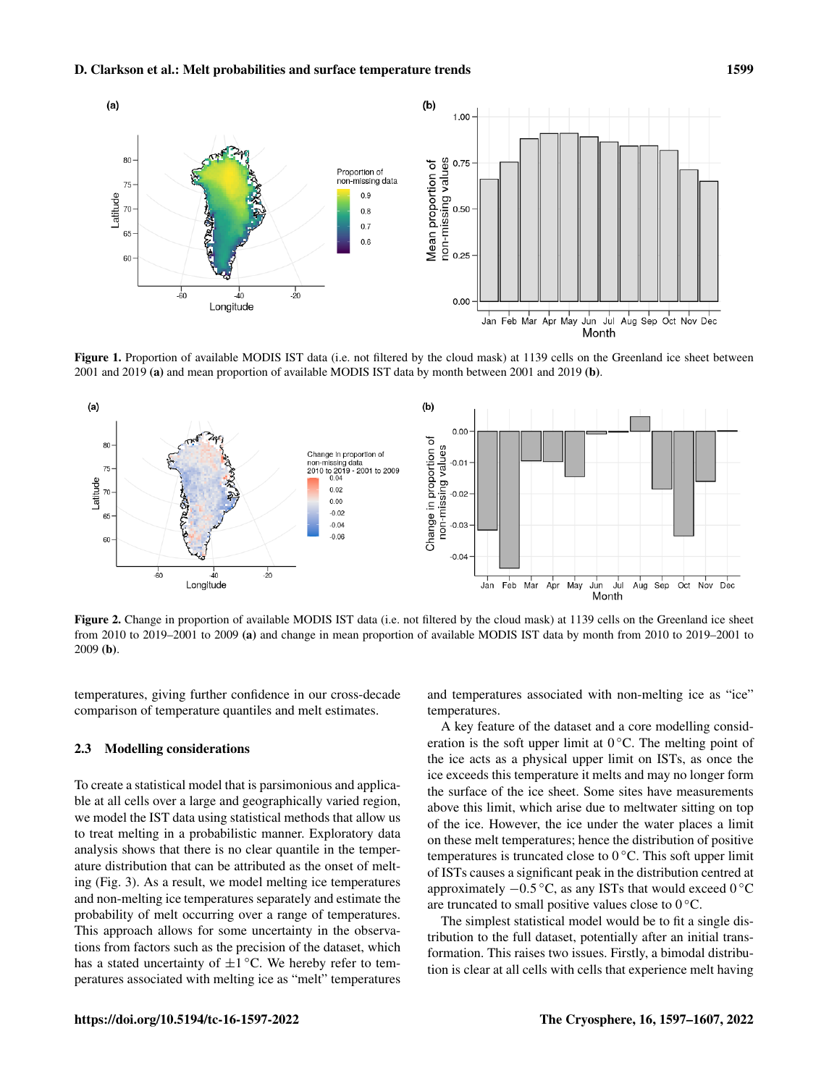<span id="page-2-0"></span>

Figure 1. Proportion of available MODIS IST data (i.e. not filtered by the cloud mask) at 1139 cells on the Greenland ice sheet between 2001 and 2019 (a) and mean proportion of available MODIS IST data by month between 2001 and 2019 (b).

<span id="page-2-1"></span>

Figure 2. Change in proportion of available MODIS IST data (i.e. not filtered by the cloud mask) at 1139 cells on the Greenland ice sheet from 2010 to 2019–2001 to 2009 (a) and change in mean proportion of available MODIS IST data by month from 2010 to 2019–2001 to 2009 (b).

temperatures, giving further confidence in our cross-decade comparison of temperature quantiles and melt estimates.

# 2.3 Modelling considerations

To create a statistical model that is parsimonious and applicable at all cells over a large and geographically varied region, we model the IST data using statistical methods that allow us to treat melting in a probabilistic manner. Exploratory data analysis shows that there is no clear quantile in the temperature distribution that can be attributed as the onset of melting (Fig. [3\)](#page-3-0). As a result, we model melting ice temperatures and non-melting ice temperatures separately and estimate the probability of melt occurring over a range of temperatures. This approach allows for some uncertainty in the observations from factors such as the precision of the dataset, which has a stated uncertainty of  $\pm 1$  °C. We hereby refer to temperatures associated with melting ice as "melt" temperatures

and temperatures associated with non-melting ice as "ice" temperatures.

A key feature of the dataset and a core modelling consideration is the soft upper limit at  $0^{\circ}$ C. The melting point of the ice acts as a physical upper limit on ISTs, as once the ice exceeds this temperature it melts and may no longer form the surface of the ice sheet. Some sites have measurements above this limit, which arise due to meltwater sitting on top of the ice. However, the ice under the water places a limit on these melt temperatures; hence the distribution of positive temperatures is truncated close to  $0^{\circ}$ C. This soft upper limit of ISTs causes a significant peak in the distribution centred at approximately −0.5 ◦C, as any ISTs that would exceed 0 ◦C are truncated to small positive values close to  $0^{\circ}$ C.

The simplest statistical model would be to fit a single distribution to the full dataset, potentially after an initial transformation. This raises two issues. Firstly, a bimodal distribution is clear at all cells with cells that experience melt having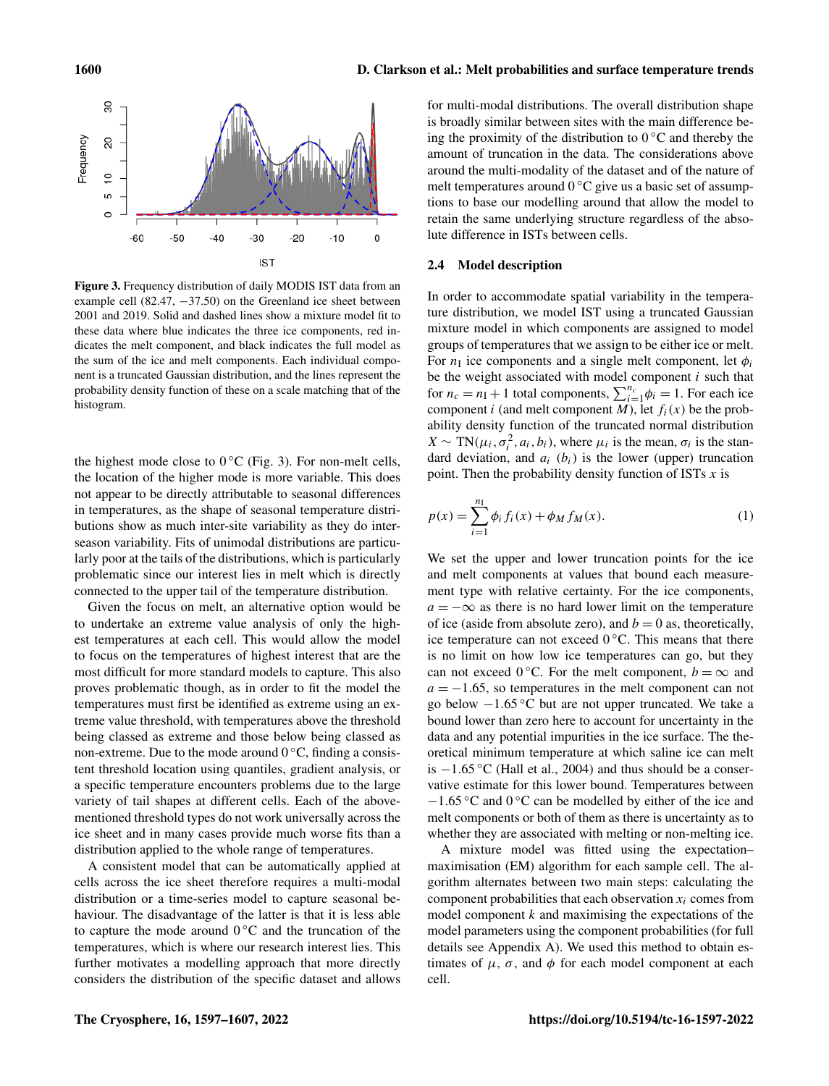<span id="page-3-0"></span>

Figure 3. Frequency distribution of daily MODIS IST data from an example cell  $(82.47, -37.50)$  on the Greenland ice sheet between 2001 and 2019. Solid and dashed lines show a mixture model fit to these data where blue indicates the three ice components, red indicates the melt component, and black indicates the full model as the sum of the ice and melt components. Each individual component is a truncated Gaussian distribution, and the lines represent the probability density function of these on a scale matching that of the histogram.

the highest mode close to  $0^{\circ}$ C (Fig. [3\)](#page-3-0). For non-melt cells, the location of the higher mode is more variable. This does not appear to be directly attributable to seasonal differences in temperatures, as the shape of seasonal temperature distributions show as much inter-site variability as they do interseason variability. Fits of unimodal distributions are particularly poor at the tails of the distributions, which is particularly problematic since our interest lies in melt which is directly connected to the upper tail of the temperature distribution.

Given the focus on melt, an alternative option would be to undertake an extreme value analysis of only the highest temperatures at each cell. This would allow the model to focus on the temperatures of highest interest that are the most difficult for more standard models to capture. This also proves problematic though, as in order to fit the model the temperatures must first be identified as extreme using an extreme value threshold, with temperatures above the threshold being classed as extreme and those below being classed as non-extreme. Due to the mode around  $0^{\circ}$ C, finding a consistent threshold location using quantiles, gradient analysis, or a specific temperature encounters problems due to the large variety of tail shapes at different cells. Each of the abovementioned threshold types do not work universally across the ice sheet and in many cases provide much worse fits than a distribution applied to the whole range of temperatures.

A consistent model that can be automatically applied at cells across the ice sheet therefore requires a multi-modal distribution or a time-series model to capture seasonal behaviour. The disadvantage of the latter is that it is less able to capture the mode around  $0\degree$ C and the truncation of the temperatures, which is where our research interest lies. This further motivates a modelling approach that more directly considers the distribution of the specific dataset and allows

for multi-modal distributions. The overall distribution shape is broadly similar between sites with the main difference being the proximity of the distribution to  $0^{\circ}$ C and thereby the amount of truncation in the data. The considerations above around the multi-modality of the dataset and of the nature of melt temperatures around  $0^{\circ}$ C give us a basic set of assumptions to base our modelling around that allow the model to retain the same underlying structure regardless of the absolute difference in ISTs between cells.

#### 2.4 Model description

In order to accommodate spatial variability in the temperature distribution, we model IST using a truncated Gaussian mixture model in which components are assigned to model groups of temperatures that we assign to be either ice or melt. For  $n<sub>I</sub>$  ice components and a single melt component, let  $\phi_i$ be the weight associated with model component  $i$  such that for  $n_c = n_I + 1$  total components,  $\sum_{i=1}^{n_c} \phi_i = 1$ . For each ice component i (and melt component M), let  $f_i(x)$  be the probability density function of the truncated normal distribution  $X \sim \text{TN}(\mu_i, \sigma_i^2, a_i, b_i)$ , where  $\mu_i$  is the mean,  $\sigma_i$  is the standard deviation, and  $a_i$  ( $b_i$ ) is the lower (upper) truncation point. Then the probability density function of ISTs  $x$  is

$$
p(x) = \sum_{i=1}^{n_1} \phi_i f_i(x) + \phi_M f_M(x).
$$
 (1)

We set the upper and lower truncation points for the ice and melt components at values that bound each measurement type with relative certainty. For the ice components,  $a = -\infty$  as there is no hard lower limit on the temperature of ice (aside from absolute zero), and  $b = 0$  as, theoretically, ice temperature can not exceed  $0^{\circ}$ C. This means that there is no limit on how low ice temperatures can go, but they can not exceed 0 °C. For the melt component,  $b = \infty$  and  $a = -1.65$ , so temperatures in the melt component can not go below  $-1.65$  °C but are not upper truncated. We take a bound lower than zero here to account for uncertainty in the data and any potential impurities in the ice surface. The theoretical minimum temperature at which saline ice can melt is  $-1.65$  °C [\(Hall et al.,](#page-10-11) [2004\)](#page-10-11) and thus should be a conservative estimate for this lower bound. Temperatures between −1.65 ◦C and 0 ◦C can be modelled by either of the ice and melt components or both of them as there is uncertainty as to whether they are associated with melting or non-melting ice.

A mixture model was fitted using the expectation– maximisation (EM) algorithm for each sample cell. The algorithm alternates between two main steps: calculating the component probabilities that each observation  $x_i$  comes from model component  $k$  and maximising the expectations of the model parameters using the component probabilities (for full details see Appendix [A\)](#page-9-1). We used this method to obtain estimates of  $\mu$ ,  $\sigma$ , and  $\phi$  for each model component at each cell.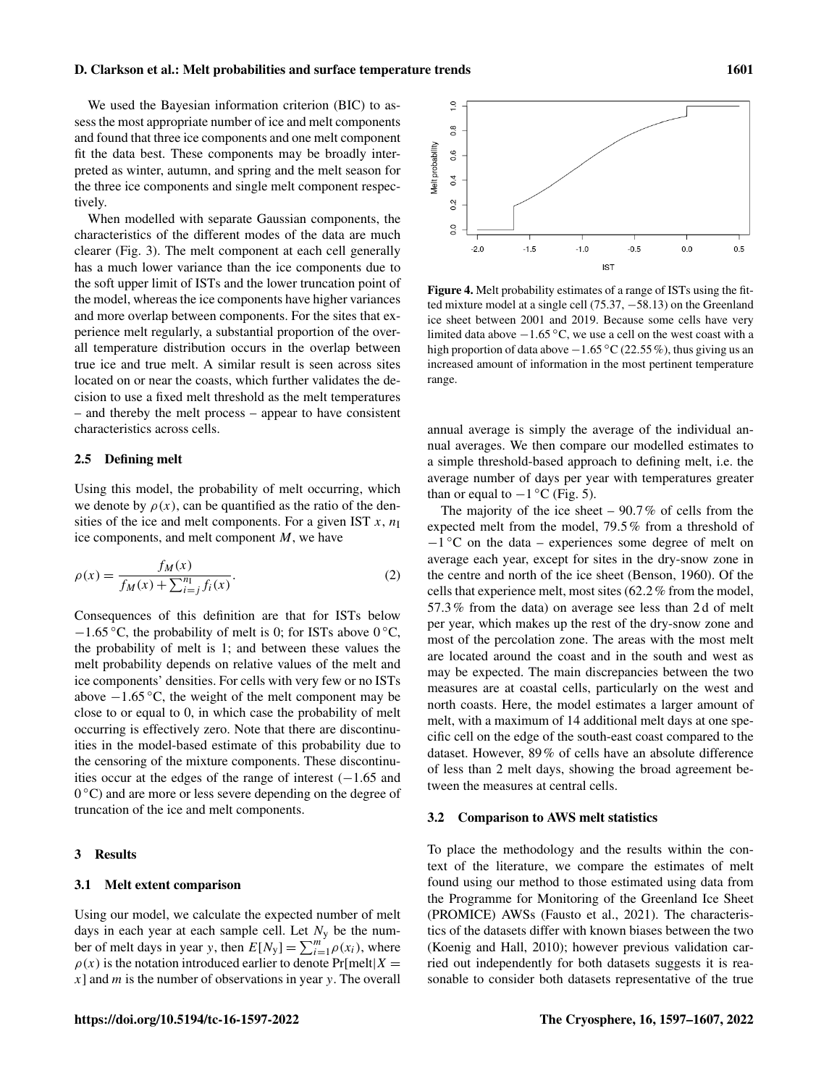#### D. Clarkson et al.: Melt probabilities and surface temperature trends 1601

We used the Bayesian information criterion (BIC) to assess the most appropriate number of ice and melt components and found that three ice components and one melt component fit the data best. These components may be broadly interpreted as winter, autumn, and spring and the melt season for the three ice components and single melt component respectively.

When modelled with separate Gaussian components, the characteristics of the different modes of the data are much clearer (Fig. [3\)](#page-3-0). The melt component at each cell generally has a much lower variance than the ice components due to the soft upper limit of ISTs and the lower truncation point of the model, whereas the ice components have higher variances and more overlap between components. For the sites that experience melt regularly, a substantial proportion of the overall temperature distribution occurs in the overlap between true ice and true melt. A similar result is seen across sites located on or near the coasts, which further validates the decision to use a fixed melt threshold as the melt temperatures – and thereby the melt process – appear to have consistent characteristics across cells.

# 2.5 Defining melt

Using this model, the probability of melt occurring, which we denote by  $\rho(x)$ , can be quantified as the ratio of the densities of the ice and melt components. For a given IST  $x$ ,  $n<sub>I</sub>$ ice components, and melt component M, we have

$$
\rho(x) = \frac{f_M(x)}{f_M(x) + \sum_{i=j}^{n_{\text{I}}} f_i(x)}.
$$
\n(2)

Consequences of this definition are that for ISTs below  $-1.65$  °C, the probability of melt is 0; for ISTs above 0 °C, the probability of melt is 1; and between these values the melt probability depends on relative values of the melt and ice components' densities. For cells with very few or no ISTs above  $-1.65$  °C, the weight of the melt component may be close to or equal to 0, in which case the probability of melt occurring is effectively zero. Note that there are discontinuities in the model-based estimate of this probability due to the censoring of the mixture components. These discontinuities occur at the edges of the range of interest  $(-1.65 \text{ and }$ 0 °C) and are more or less severe depending on the degree of truncation of the ice and melt components.

# 3 Results

# 3.1 Melt extent comparison

Using our model, we calculate the expected number of melt days in each year at each sample cell. Let  $N_y$  be the number of melt days in year y, then  $E[N_y] = \sum_{i=1}^{m} \rho(x_i)$ , where  $\rho(x)$  is the notation introduced earlier to denote Pr[melt|X =  $x$ ] and  $m$  is the number of observations in year  $y$ . The overall



Figure 4. Melt probability estimates of a range of ISTs using the fitted mixture model at a single cell (75.37, −58.13) on the Greenland ice sheet between 2001 and 2019. Because some cells have very limited data above  $-1.65$  °C, we use a cell on the west coast with a high proportion of data above −1.65 °C (22.55 %), thus giving us an increased amount of information in the most pertinent temperature range.

annual average is simply the average of the individual annual averages. We then compare our modelled estimates to a simple threshold-based approach to defining melt, i.e. the average number of days per year with temperatures greater than or equal to  $-1$  °C (Fig. [5\)](#page-5-0).

The majority of the ice sheet  $-90.7\%$  of cells from the expected melt from the model, 79.5% from a threshold of −1 ◦C on the data – experiences some degree of melt on average each year, except for sites in the dry-snow zone in the centre and north of the ice sheet [\(Benson,](#page-9-2) [1960\)](#page-9-2). Of the cells that experience melt, most sites (62.2% from the model, 57.3% from the data) on average see less than 2 d of melt per year, which makes up the rest of the dry-snow zone and most of the percolation zone. The areas with the most melt are located around the coast and in the south and west as may be expected. The main discrepancies between the two measures are at coastal cells, particularly on the west and north coasts. Here, the model estimates a larger amount of melt, with a maximum of 14 additional melt days at one specific cell on the edge of the south-east coast compared to the dataset. However, 89% of cells have an absolute difference of less than 2 melt days, showing the broad agreement between the measures at central cells.

#### 3.2 Comparison to AWS melt statistics

To place the methodology and the results within the context of the literature, we compare the estimates of melt found using our method to those estimated using data from the Programme for Monitoring of the Greenland Ice Sheet (PROMICE) AWSs [\(Fausto et al.,](#page-9-3) [2021\)](#page-9-3). The characteristics of the datasets differ with known biases between the two [\(Koenig and Hall,](#page-10-10) [2010\)](#page-10-10); however previous validation carried out independently for both datasets suggests it is reasonable to consider both datasets representative of the true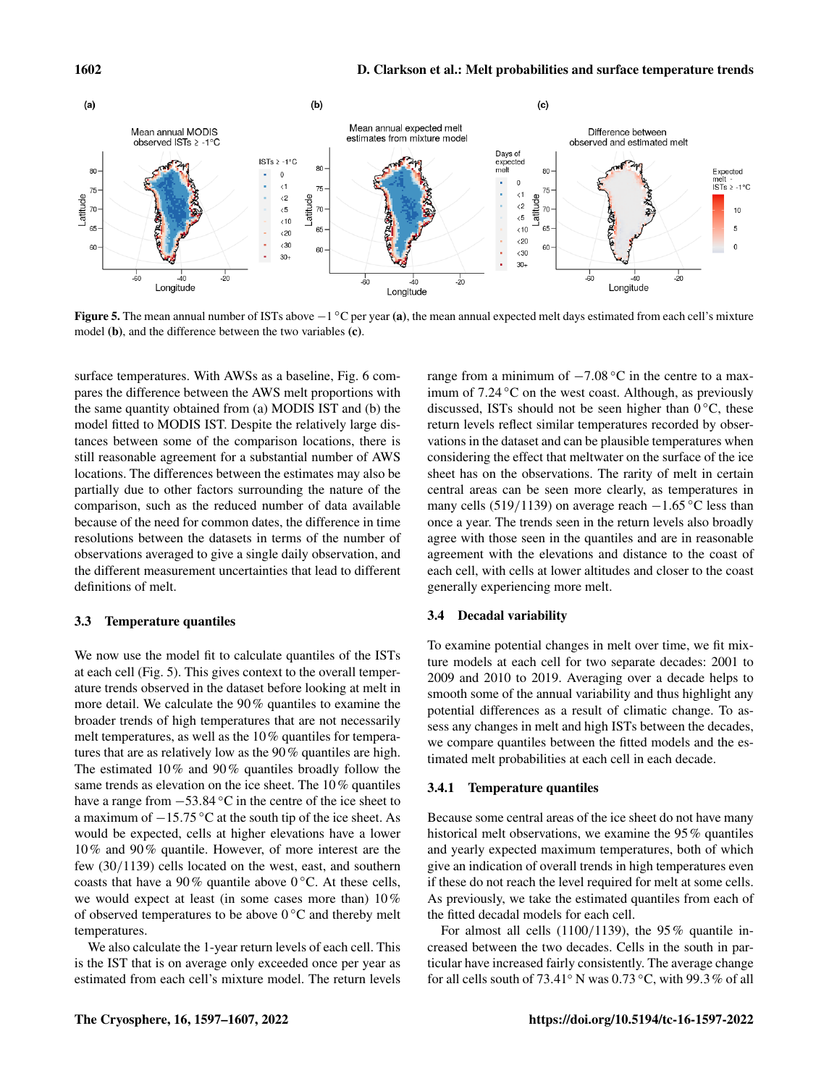<span id="page-5-0"></span>

**Figure 5.** The mean annual number of ISTs above  $-1^{\circ}C$  per year (a), the mean annual expected melt days estimated from each cell's mixture model (b), and the difference between the two variables (c).

surface temperatures. With AWSs as a baseline, Fig. [6](#page-6-0) compares the difference between the AWS melt proportions with the same quantity obtained from (a) MODIS IST and (b) the model fitted to MODIS IST. Despite the relatively large distances between some of the comparison locations, there is still reasonable agreement for a substantial number of AWS locations. The differences between the estimates may also be partially due to other factors surrounding the nature of the comparison, such as the reduced number of data available because of the need for common dates, the difference in time resolutions between the datasets in terms of the number of observations averaged to give a single daily observation, and the different measurement uncertainties that lead to different definitions of melt.

#### 3.3 Temperature quantiles

We now use the model fit to calculate quantiles of the ISTs at each cell (Fig. [5\)](#page-5-0). This gives context to the overall temperature trends observed in the dataset before looking at melt in more detail. We calculate the 90% quantiles to examine the broader trends of high temperatures that are not necessarily melt temperatures, as well as the 10% quantiles for temperatures that are as relatively low as the 90% quantiles are high. The estimated 10% and 90% quantiles broadly follow the same trends as elevation on the ice sheet. The 10% quantiles have a range from  $-53.84\text{ °C}$  in the centre of the ice sheet to a maximum of −15.75 ◦C at the south tip of the ice sheet. As would be expected, cells at higher elevations have a lower 10% and 90% quantile. However, of more interest are the few (30/1139) cells located on the west, east, and southern coasts that have a 90% quantile above  $0^{\circ}$ C. At these cells, we would expect at least (in some cases more than) 10% of observed temperatures to be above  $0^{\circ}$ C and thereby melt temperatures.

We also calculate the 1-year return levels of each cell. This is the IST that is on average only exceeded once per year as estimated from each cell's mixture model. The return levels

range from a minimum of  $-7.08\text{ °C}$  in the centre to a maximum of 7.24 ◦C on the west coast. Although, as previously discussed, ISTs should not be seen higher than  $0^{\circ}$ C, these return levels reflect similar temperatures recorded by observations in the dataset and can be plausible temperatures when considering the effect that meltwater on the surface of the ice sheet has on the observations. The rarity of melt in certain central areas can be seen more clearly, as temperatures in many cells (519/1139) on average reach  $-1.65$  °C less than once a year. The trends seen in the return levels also broadly agree with those seen in the quantiles and are in reasonable agreement with the elevations and distance to the coast of each cell, with cells at lower altitudes and closer to the coast generally experiencing more melt.

# 3.4 Decadal variability

To examine potential changes in melt over time, we fit mixture models at each cell for two separate decades: 2001 to 2009 and 2010 to 2019. Averaging over a decade helps to smooth some of the annual variability and thus highlight any potential differences as a result of climatic change. To assess any changes in melt and high ISTs between the decades, we compare quantiles between the fitted models and the estimated melt probabilities at each cell in each decade.

#### 3.4.1 Temperature quantiles

Because some central areas of the ice sheet do not have many historical melt observations, we examine the 95% quantiles and yearly expected maximum temperatures, both of which give an indication of overall trends in high temperatures even if these do not reach the level required for melt at some cells. As previously, we take the estimated quantiles from each of the fitted decadal models for each cell.

For almost all cells  $(1100/1139)$ , the 95% quantile increased between the two decades. Cells in the south in particular have increased fairly consistently. The average change for all cells south of 73.41 $\degree$  N was 0.73 $\degree$ C, with 99.3% of all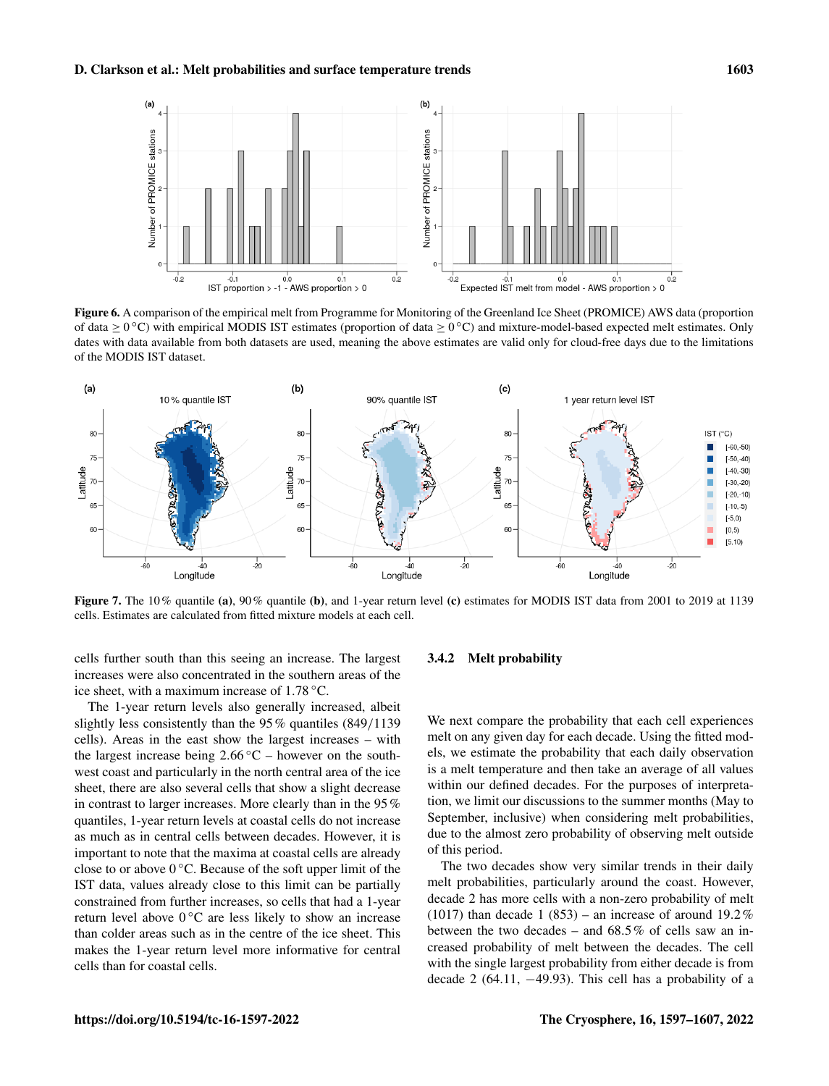# <span id="page-6-0"></span>D. Clarkson et al.: Melt probabilities and surface temperature trends 1603



Figure 6. A comparison of the empirical melt from Programme for Monitoring of the Greenland Ice Sheet (PROMICE) AWS data (proportion of data  $\geq 0^{\circ}$ C) with empirical MODIS IST estimates (proportion of data  $\geq 0^{\circ}$ C) and mixture-model-based expected melt estimates. Only dates with data available from both datasets are used, meaning the above estimates are valid only for cloud-free days due to the limitations of the MODIS IST dataset.



Figure 7. The 10% quantile (a), 90% quantile (b), and 1-year return level (c) estimates for MODIS IST data from 2001 to 2019 at 1139 cells. Estimates are calculated from fitted mixture models at each cell.

cells further south than this seeing an increase. The largest increases were also concentrated in the southern areas of the ice sheet, with a maximum increase of 1.78 ◦C.

The 1-year return levels also generally increased, albeit slightly less consistently than the 95% quantiles (849/1139 cells). Areas in the east show the largest increases – with the largest increase being  $2.66\degree C$  – however on the southwest coast and particularly in the north central area of the ice sheet, there are also several cells that show a slight decrease in contrast to larger increases. More clearly than in the 95% quantiles, 1-year return levels at coastal cells do not increase as much as in central cells between decades. However, it is important to note that the maxima at coastal cells are already close to or above  $0^{\circ}$ C. Because of the soft upper limit of the IST data, values already close to this limit can be partially constrained from further increases, so cells that had a 1-year return level above  $0^{\circ}$ C are less likely to show an increase than colder areas such as in the centre of the ice sheet. This makes the 1-year return level more informative for central cells than for coastal cells.

# 3.4.2 Melt probability

We next compare the probability that each cell experiences melt on any given day for each decade. Using the fitted models, we estimate the probability that each daily observation is a melt temperature and then take an average of all values within our defined decades. For the purposes of interpretation, we limit our discussions to the summer months (May to September, inclusive) when considering melt probabilities, due to the almost zero probability of observing melt outside of this period.

The two decades show very similar trends in their daily melt probabilities, particularly around the coast. However, decade 2 has more cells with a non-zero probability of melt (1017) than decade 1 (853) – an increase of around  $19.2\%$ between the two decades – and  $68.5\%$  of cells saw an increased probability of melt between the decades. The cell with the single largest probability from either decade is from decade 2 (64.11,  $-49.93$ ). This cell has a probability of a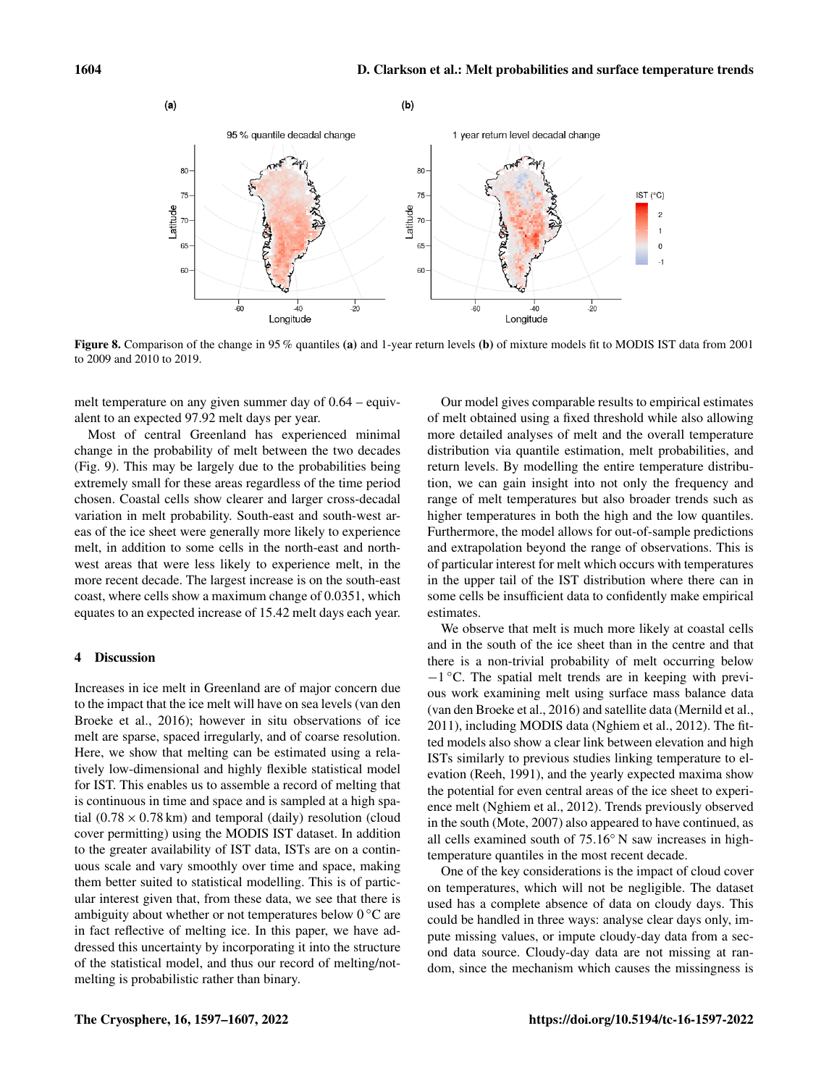

Figure 8. Comparison of the change in 95 % quantiles (a) and 1-year return levels (b) of mixture models fit to MODIS IST data from 2001 to 2009 and 2010 to 2019.

melt temperature on any given summer day of 0.64 – equivalent to an expected 97.92 melt days per year.

Most of central Greenland has experienced minimal change in the probability of melt between the two decades (Fig. [9\)](#page-8-0). This may be largely due to the probabilities being extremely small for these areas regardless of the time period chosen. Coastal cells show clearer and larger cross-decadal variation in melt probability. South-east and south-west areas of the ice sheet were generally more likely to experience melt, in addition to some cells in the north-east and northwest areas that were less likely to experience melt, in the more recent decade. The largest increase is on the south-east coast, where cells show a maximum change of 0.0351, which equates to an expected increase of 15.42 melt days each year.

# 4 Discussion

Increases in ice melt in Greenland are of major concern due to the impact that the ice melt will have on sea levels [\(van den](#page-10-12) [Broeke et al.,](#page-10-12) [2016\)](#page-10-12); however in situ observations of ice melt are sparse, spaced irregularly, and of coarse resolution. Here, we show that melting can be estimated using a relatively low-dimensional and highly flexible statistical model for IST. This enables us to assemble a record of melting that is continuous in time and space and is sampled at a high spatial  $(0.78 \times 0.78 \text{ km})$  and temporal (daily) resolution (cloud cover permitting) using the MODIS IST dataset. In addition to the greater availability of IST data, ISTs are on a continuous scale and vary smoothly over time and space, making them better suited to statistical modelling. This is of particular interest given that, from these data, we see that there is ambiguity about whether or not temperatures below 0 ◦C are in fact reflective of melting ice. In this paper, we have addressed this uncertainty by incorporating it into the structure of the statistical model, and thus our record of melting/notmelting is probabilistic rather than binary.

of melt obtained using a fixed threshold while also allowing more detailed analyses of melt and the overall temperature distribution via quantile estimation, melt probabilities, and return levels. By modelling the entire temperature distribution, we can gain insight into not only the frequency and range of melt temperatures but also broader trends such as higher temperatures in both the high and the low quantiles. Furthermore, the model allows for out-of-sample predictions and extrapolation beyond the range of observations. This is of particular interest for melt which occurs with temperatures in the upper tail of the IST distribution where there can in some cells be insufficient data to confidently make empirical estimates.

Our model gives comparable results to empirical estimates

We observe that melt is much more likely at coastal cells and in the south of the ice sheet than in the centre and that there is a non-trivial probability of melt occurring below −1 ◦C. The spatial melt trends are in keeping with previous work examining melt using surface mass balance data [\(van den Broeke et al.,](#page-10-12) [2016\)](#page-10-12) and satellite data [\(Mernild et al.,](#page-10-13) [2011\)](#page-10-13), including MODIS data [\(Nghiem et al.,](#page-10-14) [2012\)](#page-10-14). The fitted models also show a clear link between elevation and high ISTs similarly to previous studies linking temperature to elevation [\(Reeh,](#page-10-15) [1991\)](#page-10-15), and the yearly expected maxima show the potential for even central areas of the ice sheet to experience melt [\(Nghiem et al.,](#page-10-14) [2012\)](#page-10-14). Trends previously observed in the south [\(Mote,](#page-10-16) [2007\)](#page-10-16) also appeared to have continued, as all cells examined south of 75.16◦ N saw increases in hightemperature quantiles in the most recent decade.

One of the key considerations is the impact of cloud cover on temperatures, which will not be negligible. The dataset used has a complete absence of data on cloudy days. This could be handled in three ways: analyse clear days only, impute missing values, or impute cloudy-day data from a second data source. Cloudy-day data are not missing at random, since the mechanism which causes the missingness is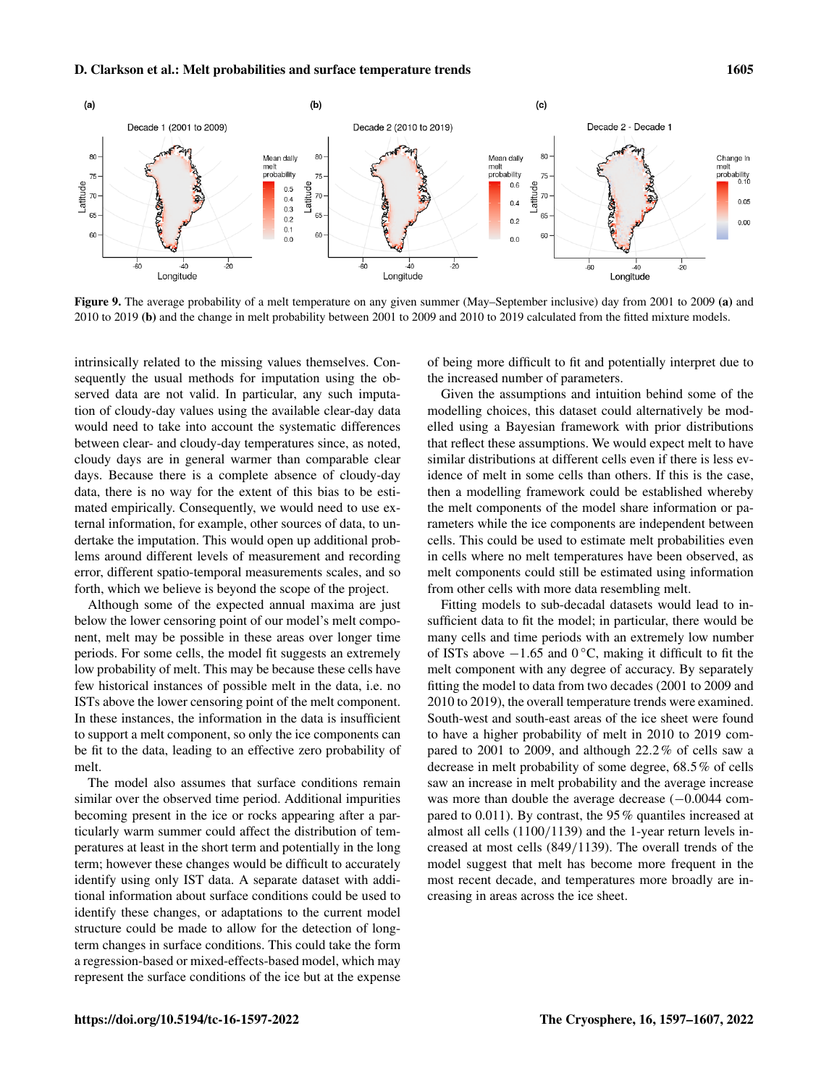<span id="page-8-0"></span>

Figure 9. The average probability of a melt temperature on any given summer (May–September inclusive) day from 2001 to 2009 (a) and 2010 to 2019 (b) and the change in melt probability between 2001 to 2009 and 2010 to 2019 calculated from the fitted mixture models.

intrinsically related to the missing values themselves. Consequently the usual methods for imputation using the observed data are not valid. In particular, any such imputation of cloudy-day values using the available clear-day data would need to take into account the systematic differences between clear- and cloudy-day temperatures since, as noted, cloudy days are in general warmer than comparable clear days. Because there is a complete absence of cloudy-day data, there is no way for the extent of this bias to be estimated empirically. Consequently, we would need to use external information, for example, other sources of data, to undertake the imputation. This would open up additional problems around different levels of measurement and recording error, different spatio-temporal measurements scales, and so forth, which we believe is beyond the scope of the project.

Although some of the expected annual maxima are just below the lower censoring point of our model's melt component, melt may be possible in these areas over longer time periods. For some cells, the model fit suggests an extremely low probability of melt. This may be because these cells have few historical instances of possible melt in the data, i.e. no ISTs above the lower censoring point of the melt component. In these instances, the information in the data is insufficient to support a melt component, so only the ice components can be fit to the data, leading to an effective zero probability of melt.

The model also assumes that surface conditions remain similar over the observed time period. Additional impurities becoming present in the ice or rocks appearing after a particularly warm summer could affect the distribution of temperatures at least in the short term and potentially in the long term; however these changes would be difficult to accurately identify using only IST data. A separate dataset with additional information about surface conditions could be used to identify these changes, or adaptations to the current model structure could be made to allow for the detection of longterm changes in surface conditions. This could take the form a regression-based or mixed-effects-based model, which may represent the surface conditions of the ice but at the expense of being more difficult to fit and potentially interpret due to the increased number of parameters.

Given the assumptions and intuition behind some of the modelling choices, this dataset could alternatively be modelled using a Bayesian framework with prior distributions that reflect these assumptions. We would expect melt to have similar distributions at different cells even if there is less evidence of melt in some cells than others. If this is the case, then a modelling framework could be established whereby the melt components of the model share information or parameters while the ice components are independent between cells. This could be used to estimate melt probabilities even in cells where no melt temperatures have been observed, as melt components could still be estimated using information from other cells with more data resembling melt.

Fitting models to sub-decadal datasets would lead to insufficient data to fit the model; in particular, there would be many cells and time periods with an extremely low number of ISTs above  $-1.65$  and 0 °C, making it difficult to fit the melt component with any degree of accuracy. By separately fitting the model to data from two decades (2001 to 2009 and 2010 to 2019), the overall temperature trends were examined. South-west and south-east areas of the ice sheet were found to have a higher probability of melt in 2010 to 2019 compared to 2001 to 2009, and although 22.2% of cells saw a decrease in melt probability of some degree, 68.5% of cells saw an increase in melt probability and the average increase was more than double the average decrease (-0.0044 compared to 0.011). By contrast, the 95% quantiles increased at almost all cells (1100/1139) and the 1-year return levels increased at most cells (849/1139). The overall trends of the model suggest that melt has become more frequent in the most recent decade, and temperatures more broadly are increasing in areas across the ice sheet.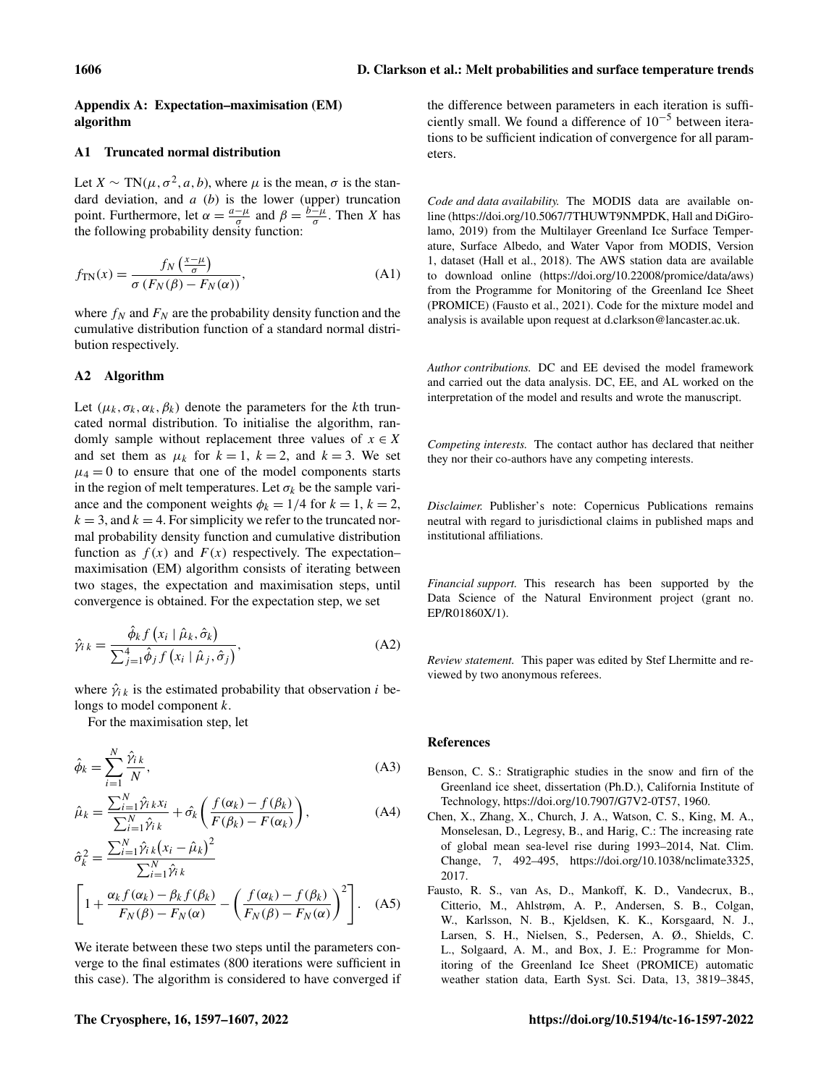# <span id="page-9-1"></span>Appendix A: Expectation–maximisation (EM) algorithm

# A1 Truncated normal distribution

Let  $X \sim TN(\mu, \sigma^2, a, b)$ , where  $\mu$  is the mean,  $\sigma$  is the standard deviation, and  $a$  (b) is the lower (upper) truncation point. Furthermore, let  $\alpha = \frac{a-\mu}{\sigma}$  $\frac{-\mu}{\sigma}$  and  $\beta = \frac{b-\mu}{\sigma}$  $\frac{-\mu}{\sigma}$ . Then X has the following probability density function:

$$
f_{\text{TN}}(x) = \frac{f_N\left(\frac{x-\mu}{\sigma}\right)}{\sigma\left(F_N(\beta) - F_N(\alpha)\right)},\tag{A1}
$$

where  $f_N$  and  $F_N$  are the probability density function and the cumulative distribution function of a standard normal distribution respectively.

# A2 Algorithm

Let  $(\mu_k, \sigma_k, \alpha_k, \beta_k)$  denote the parameters for the kth truncated normal distribution. To initialise the algorithm, randomly sample without replacement three values of  $x \in X$ and set them as  $\mu_k$  for  $k = 1$ ,  $k = 2$ , and  $k = 3$ . We set  $\mu_4 = 0$  to ensure that one of the model components starts in the region of melt temperatures. Let  $\sigma_k$  be the sample variance and the component weights  $\phi_k = 1/4$  for  $k = 1, k = 2$ ,  $k = 3$ , and  $k = 4$ . For simplicity we refer to the truncated normal probability density function and cumulative distribution function as  $f(x)$  and  $F(x)$  respectively. The expectation– maximisation (EM) algorithm consists of iterating between two stages, the expectation and maximisation steps, until convergence is obtained. For the expectation step, we set

$$
\hat{\gamma}_i{}_{k} = \frac{\hat{\phi}_k f\left(x_i \mid \hat{\mu}_k, \hat{\sigma}_k\right)}{\sum_{j=1}^4 \hat{\phi}_j f\left(x_i \mid \hat{\mu}_j, \hat{\sigma}_j\right)},\tag{A2}
$$

where  $\hat{\gamma}_{i,k}$  is the estimated probability that observation i belongs to model component k.

For the maximisation step, let

$$
\hat{\phi}_k = \sum_{i=1}^N \frac{\hat{\gamma}_{ik}}{N},\tag{A3}
$$

$$
\hat{\mu}_k = \frac{\sum_{i=1}^N \hat{\gamma}_{i,k} x_i}{\sum_{i=1}^N \hat{\gamma}_{i,k}} + \hat{\sigma_k} \left( \frac{f(\alpha_k) - f(\beta_k)}{F(\beta_k) - F(\alpha_k)} \right),\tag{A4}
$$

$$
\hat{\sigma}_k^2 = \frac{\sum_{i=1}^N \hat{\gamma}_{ik} (x_i - \hat{\mu}_k)^2}{\sum_{i=1}^N \hat{\gamma}_{ik}}
$$

$$
\left[1 + \frac{\alpha_k f(\alpha_k) - \beta_k f(\beta_k)}{F_N(\beta) - F_N(\alpha)} - \left(\frac{f(\alpha_k) - f(\beta_k)}{F_N(\beta) - F_N(\alpha)}\right)^2\right].
$$
 (A5)

We iterate between these two steps until the parameters converge to the final estimates (800 iterations were sufficient in this case). The algorithm is considered to have converged if the difference between parameters in each iteration is sufficiently small. We found a difference of 10−<sup>5</sup> between iterations to be sufficient indication of convergence for all parameters.

*Code and data availability.* The MODIS data are available online (https://doi.org[/10.5067/7THUWT9NMPDK,](https://doi.org/10.5067/7THUWT9NMPDK) [Hall and DiGiro](#page-10-17)[lamo,](#page-10-17) [2019\)](#page-10-17) from the Multilayer Greenland Ice Surface Temperature, Surface Albedo, and Water Vapor from MODIS, Version 1, dataset [\(Hall et al.,](#page-10-4) [2018\)](#page-10-4). The AWS station data are available to download online (https://doi.org[/10.22008/promice/data/aws\)](https://doi.org/10.22008/promice/data/aws) from the Programme for Monitoring of the Greenland Ice Sheet (PROMICE) [\(Fausto et al.,](#page-9-3) [2021\)](#page-9-3). Code for the mixture model and analysis is available upon request at d.clarkson@lancaster.ac.uk.

*Author contributions.* DC and EE devised the model framework and carried out the data analysis. DC, EE, and AL worked on the interpretation of the model and results and wrote the manuscript.

*Competing interests.* The contact author has declared that neither they nor their co-authors have any competing interests.

*Disclaimer.* Publisher's note: Copernicus Publications remains neutral with regard to jurisdictional claims in published maps and institutional affiliations.

*Financial support.* This research has been supported by the Data Science of the Natural Environment project (grant no. EP/R01860X/1).

*Review statement.* This paper was edited by Stef Lhermitte and reviewed by two anonymous referees.

#### References

- <span id="page-9-2"></span>Benson, C. S.: Stratigraphic studies in the snow and firn of the Greenland ice sheet, dissertation (Ph.D.), California Institute of Technology, https://doi.org[/10.7907/G7V2-0T57,](https://doi.org/10.7907/G7V2-0T57) 1960.
- <span id="page-9-0"></span>Chen, X., Zhang, X., Church, J. A., Watson, C. S., King, M. A., Monselesan, D., Legresy, B., and Harig, C.: The increasing rate of global mean sea-level rise during 1993–2014, Nat. Clim. Change, 7, 492–495, https://doi.org[/10.1038/nclimate3325,](https://doi.org/10.1038/nclimate3325) 2017.
- <span id="page-9-3"></span>Fausto, R. S., van As, D., Mankoff, K. D., Vandecrux, B., Citterio, M., Ahlstrøm, A. P., Andersen, S. B., Colgan, W., Karlsson, N. B., Kjeldsen, K. K., Korsgaard, N. J., Larsen, S. H., Nielsen, S., Pedersen, A. Ø., Shields, C. L., Solgaard, A. M., and Box, J. E.: Programme for Monitoring of the Greenland Ice Sheet (PROMICE) automatic weather station data, Earth Syst. Sci. Data, 13, 3819–3845,